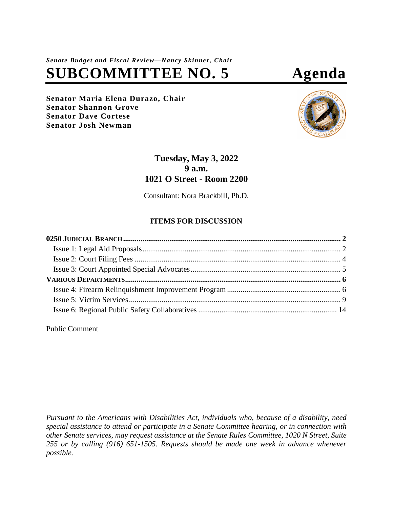# *Senate Budget and Fiscal Review—Nancy Skinner, Chair* **SUBCOMMITTEE NO. 5 Agenda**

**Senator Maria Elena Durazo, Chair Senator Shannon Grove Senator Dave Cortese Senator Josh Newman**



## **Tuesday, May 3, 2022 9 a.m. 1021 O Street - Room 2200**

Consultant: Nora Brackbill, Ph.D.

## **ITEMS FOR DISCUSSION**

Public Comment

*Pursuant to the Americans with Disabilities Act, individuals who, because of a disability, need special assistance to attend or participate in a Senate Committee hearing, or in connection with other Senate services, may request assistance at the Senate Rules Committee, 1020 N Street, Suite 255 or by calling (916) 651-1505. Requests should be made one week in advance whenever possible.*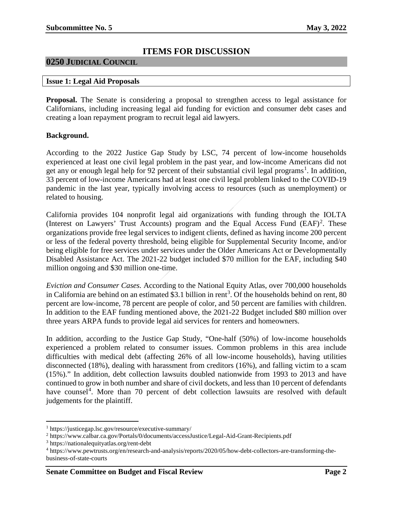## **ITEMS FOR DISCUSSION**

### <span id="page-1-0"></span>**0250 JUDICIAL COUNCIL**

#### <span id="page-1-1"></span>**Issue 1: Legal Aid Proposals**

**Proposal.** The Senate is considering a proposal to strengthen access to legal assistance for Californians, including increasing legal aid funding for eviction and consumer debt cases and creating a loan repayment program to recruit legal aid lawyers.

#### **Background.**

According to the 2022 Justice Gap Study by LSC, 74 percent of low-income households experienced at least one civil legal problem in the past year, and low-income Americans did not get any or enough legal help for 92 percent of their substantial civil legal programs<sup>[1](#page-1-2)</sup>. In addition, 33 percent of low-income Americans had at least one civil legal problem linked to the COVID-19 pandemic in the last year, typically involving access to resources (such as unemployment) or related to housing.

California provides 104 nonprofit legal aid organizations with funding through the IOLTA (Interest on Lawyers' Trust Accounts) program and the Equal Access Fund  $(EAF)^2$  $(EAF)^2$ . These organizations provide free legal services to indigent clients, defined as having income 200 percent or less of the federal poverty threshold, being eligible for Supplemental Security Income, and/or being eligible for free services under services under the Older Americans Act or Developmentally Disabled Assistance Act. The 2021-22 budget included \$70 million for the EAF, including \$40 million ongoing and \$30 million one-time.

*Eviction and Consumer Cases.* According to the National Equity Atlas, over 700,000 households in California are behind on an estimated \$[3](#page-1-4).1 billion in rent<sup>3</sup>. Of the households behind on rent, 80 percent are low-income, 78 percent are people of color, and 50 percent are families with children. In addition to the EAF funding mentioned above, the 2021-22 Budget included \$80 million over three years ARPA funds to provide legal aid services for renters and homeowners.

In addition, according to the Justice Gap Study, "One-half (50%) of low-income households experienced a problem related to consumer issues. Common problems in this area include difficulties with medical debt (affecting 26% of all low-income households), having utilities disconnected (18%), dealing with harassment from creditors (16%), and falling victim to a scam (15%)." In addition, debt collection lawsuits doubled nationwide from 1993 to 2013 and have continued to grow in both number and share of civil dockets, and less than 10 percent of defendants have counsel<sup>[4](#page-1-5)</sup>. More than 70 percent of debt collection lawsuits are resolved with default judgements for the plaintiff.

<span id="page-1-2"></span> <sup>1</sup> https://justicegap.lsc.gov/resource/executive-summary/

<span id="page-1-3"></span><sup>2</sup> https://www.calbar.ca.gov/Portals/0/documents/accessJustice/Legal-Aid-Grant-Recipients.pdf

<span id="page-1-4"></span><sup>3</sup> https://nationalequityatlas.org/rent-debt

<span id="page-1-5"></span><sup>4</sup> https://www.pewtrusts.org/en/research-and-analysis/reports/2020/05/how-debt-collectors-are-transforming-thebusiness-of-state-courts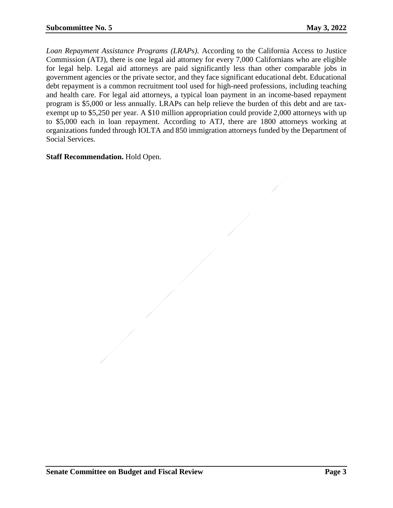*Loan Repayment Assistance Programs (LRAPs).* According to the California Access to Justice Commission (ATJ), there is one legal aid attorney for every 7,000 Californians who are eligible for legal help. Legal aid attorneys are paid significantly less than other comparable jobs in government agencies or the private sector, and they face significant educational debt. Educational debt repayment is a common recruitment tool used for high-need professions, including teaching and health care. For legal aid attorneys, a typical loan payment in an income-based repayment program is \$5,000 or less annually. LRAPs can help relieve the burden of this debt and are taxexempt up to \$5,250 per year. A \$10 million appropriation could provide 2,000 attorneys with up to \$5,000 each in loan repayment. According to ATJ, there are 1800 attorneys working at organizations funded through IOLTA and 850 immigration attorneys funded by the Department of Social Services.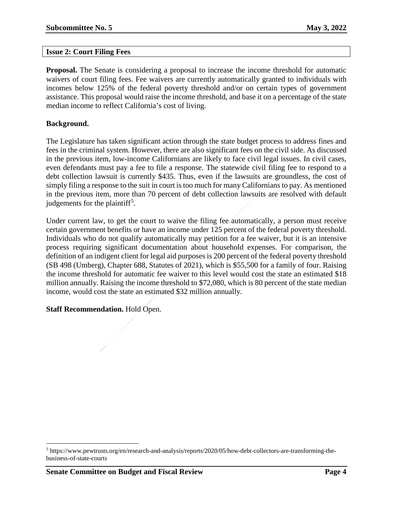#### <span id="page-3-0"></span>**Issue 2: Court Filing Fees**

**Proposal.** The Senate is considering a proposal to increase the income threshold for automatic waivers of court filing fees. Fee waivers are currently automatically granted to individuals with incomes below 125% of the federal poverty threshold and/or on certain types of government assistance. This proposal would raise the income threshold, and base it on a percentage of the state median income to reflect California's cost of living.

#### **Background.**

The Legislature has taken significant action through the state budget process to address fines and fees in the criminal system. However, there are also significant fees on the civil side. As discussed in the previous item, low-income Californians are likely to face civil legal issues. In civil cases, even defendants must pay a fee to file a response. The statewide civil filing fee to respond to a debt collection lawsuit is currently \$435. Thus, even if the lawsuits are groundless, the cost of simply filing a response to the suit in court is too much for many Californians to pay. As mentioned in the previous item, more than 70 percent of debt collection lawsuits are resolved with default judgements for the plaintiff<sup>[5](#page-3-1)</sup>.

Under current law, to get the court to waive the filing fee automatically, a person must receive certain government benefits or have an income under 125 percent of the federal poverty threshold. Individuals who do not qualify automatically may petition for a fee waiver, but it is an intensive process requiring significant documentation about household expenses. For comparison, the definition of an indigent client for legal aid purposes is 200 percent of the federal poverty threshold (SB 498 (Umberg), Chapter 688, Statutes of 2021), which is \$55,500 for a family of four. Raising the income threshold for automatic fee waiver to this level would cost the state an estimated \$18 million annually. Raising the income threshold to \$72,080, which is 80 percent of the state median income, would cost the state an estimated \$32 million annually.

<span id="page-3-1"></span> <sup>5</sup> https://www.pewtrusts.org/en/research-and-analysis/reports/2020/05/how-debt-collectors-are-transforming-thebusiness-of-state-courts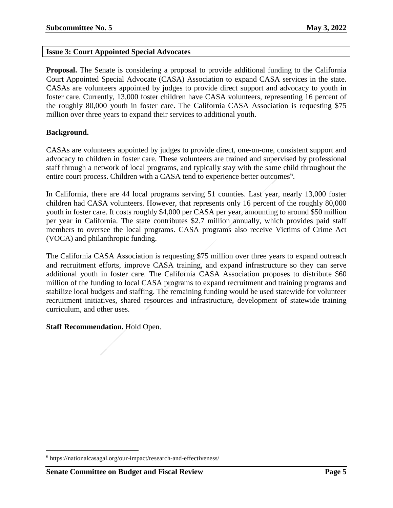#### <span id="page-4-0"></span>**Issue 3: Court Appointed Special Advocates**

**Proposal.** The Senate is considering a proposal to provide additional funding to the California Court Appointed Special Advocate (CASA) Association to expand CASA services in the state. CASAs are volunteers appointed by judges to provide direct support and advocacy to youth in foster care. Currently, 13,000 foster children have CASA volunteers, representing 16 percent of the roughly 80,000 youth in foster care. The California CASA Association is requesting \$75 million over three years to expand their services to additional youth.

#### **Background.**

CASAs are volunteers appointed by judges to provide direct, one-on-one, consistent support and advocacy to children in foster care. These volunteers are trained and supervised by professional staff through a network of local programs, and typically stay with the same child throughout the entire court process. Children with a CASA tend to experience better outcomes<sup>[6](#page-4-1)</sup>.

In California, there are 44 local programs serving 51 counties. Last year, nearly 13,000 foster children had CASA volunteers. However, that represents only 16 percent of the roughly 80,000 youth in foster care. It costs roughly \$4,000 per CASA per year, amounting to around \$50 million per year in California. The state contributes \$2.7 million annually, which provides paid staff members to oversee the local programs. CASA programs also receive Victims of Crime Act (VOCA) and philanthropic funding.

The California CASA Association is requesting \$75 million over three years to expand outreach and recruitment efforts, improve CASA training, and expand infrastructure so they can serve additional youth in foster care. The California CASA Association proposes to distribute \$60 million of the funding to local CASA programs to expand recruitment and training programs and stabilize local budgets and staffing. The remaining funding would be used statewide for volunteer recruitment initiatives, shared resources and infrastructure, development of statewide training curriculum, and other uses.

<span id="page-4-1"></span> <sup>6</sup> https://nationalcasagal.org/our-impact/research-and-effectiveness/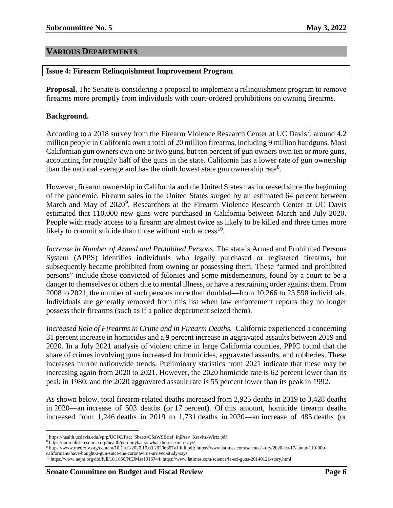#### <span id="page-5-0"></span>**VARIOUS DEPARTMENTS**

#### <span id="page-5-1"></span>**Issue 4: Firearm Relinquishment Improvement Program**

**Proposal.** The Senate is considering a proposal to implement a relinquishment program to remove firearms more promptly from individuals with court-ordered prohibitions on owning firearms.

#### **Background.**

According to a 2018 survey from the Firearm Violence Research Center at UC Davis<sup>[7](#page-5-2)</sup>, around 4.2 million people in California own a total of 20 million firearms, including 9 million handguns. Most Californian gun owners own one or two guns, but ten percent of gun owners own ten or more guns, accounting for roughly half of the guns in the state. California has a lower rate of gun ownership than the national average and has the ninth lowest state gun ownership rate<sup>[8](#page-5-3)</sup>.

However, firearm ownership in California and the United States has increased since the beginning of the pandemic. Firearm sales in the United States surged by an estimated 64 percent between March and May of 2020<sup>[9](#page-5-4)</sup>. Researchers at the Firearm Violence Research Center at UC Davis estimated that 110,000 new guns were purchased in California between March and July 2020. People with ready access to a firearm are almost twice as likely to be killed and three times more likely to commit suicide than those without such access<sup>[10](#page-5-5)</sup>.

*Increase in Number of Armed and Prohibited Persons.* The state's Armed and Prohibited Persons System (APPS) identifies individuals who legally purchased or registered firearms, but subsequently became prohibited from owning or possessing them. These "armed and prohibited persons" include those convicted of felonies and some misdemeanors, found by a court to be a danger to themselves or others due to mental illness, or have a restraining order against them. From 2008 to 2021, the number of such persons more than doubled—from 10,266 to 23,598 individuals. Individuals are generally removed from this list when law enforcement reports they no longer possess their firearms (such as if a police department seized them).

*Increased Role of Firearms in Crime and in Firearm Deaths.* California experienced a concerning 31 percent increase in homicides and a 9 percent increase in aggravated assaults between 2019 and 2020. In a July 2021 analysis of violent crime in large California counties, PPIC found that the share of crimes involving guns increased for homicides, aggravated assaults, and robberies. These increases mirror nationwide trends. Preliminary statistics from 2021 indicate that these may be increasing again from 2020 to 2021. However, the 2020 homicide rate is 62 percent lower than its peak in 1980, and the 2020 aggravated assault rate is 55 percent lower than its peak in 1992.

As shown below, total firearm-related deaths increased from 2,925 deaths in 2019 to 3,428 deaths in 2020—an increase of 503 deaths (or 17 percent). Of this amount, homicide firearm deaths increased from 1,246 deaths in 2019 to 1,731 deaths in 2020—an increase of 485 deaths (or

 <sup>7</sup> https://health.ucdavis.edu/vprp/UCFC/Fact\_Sheets/CSaWSBrief\_InjPrev\_Kravitz-Wirtz.pdf

<span id="page-5-3"></span><span id="page-5-2"></span><sup>8</sup> https://journalistsresource.org/health/gun-buybacks-what-the-research-says/

<span id="page-5-4"></span><sup>9</sup> [https://www.medrxiv.org/content/10.1101/2020.10.03.20206367v1.full.pdf;](https://www.medrxiv.org/content/10.1101/2020.10.03.20206367v1.full.pdf) https://www.latimes.com/science/story/2020-10-17/about-110-000 californians-have-bought-a-gun-since-the-coronavirus-arrived-study-says

<span id="page-5-5"></span><sup>10</sup> [https://www.nejm.org/doi/full/10.1056/NEJMsa1916744;](https://www.nejm.org/doi/full/10.1056/NEJMsa1916744) https://www.latimes.com/science/la-sci-guns-20140121-story.html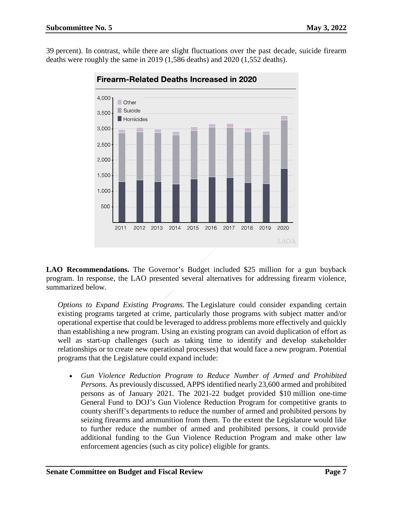39 percent). In contrast, while there are slight fluctuations over the past decade, suicide firearm deaths were roughly the same in 2019 (1,586 deaths) and 2020 (1,552 deaths).



**Firearm-Related Deaths Increased in 2020** 

**LAO Recommendations.** The Governor's Budget included \$25 million for a gun buyback program. In response, the LAO presented several alternatives for addressing firearm violence, summarized below.

*Options to Expand Existing Programs.* The Legislature could consider expanding certain existing programs targeted at crime, particularly those programs with subject matter and/or operational expertise that could be leveraged to address problems more effectively and quickly than establishing a new program. Using an existing program can avoid duplication of effort as well as start-up challenges (such as taking time to identify and develop stakeholder relationships or to create new operational processes) that would face a new program. Potential programs that the Legislature could expand include:

• *Gun Violence Reduction Program to Reduce Number of Armed and Prohibited Persons.* As previously discussed, APPS identified nearly 23,600 armed and prohibited persons as of January 2021. The 2021-22 budget provided \$10 million one-time General Fund to DOJ's Gun Violence Reduction Program for competitive grants to county sheriff's departments to reduce the number of armed and prohibited persons by seizing firearms and ammunition from them. To the extent the Legislature would like to further reduce the number of armed and prohibited persons, it could provide additional funding to the Gun Violence Reduction Program and make other law enforcement agencies (such as city police) eligible for grants.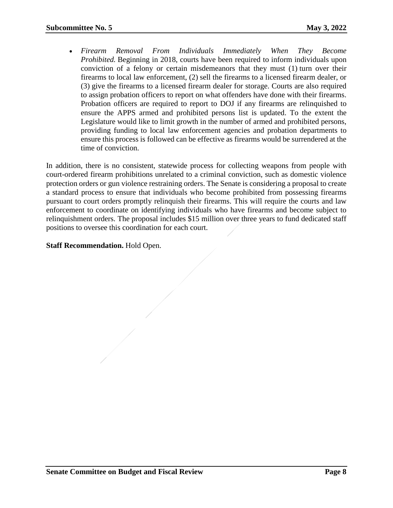• *Firearm Removal From Individuals Immediately When They Become Prohibited.* Beginning in 2018, courts have been required to inform individuals upon conviction of a felony or certain misdemeanors that they must (1) turn over their firearms to local law enforcement, (2) sell the firearms to a licensed firearm dealer, or (3) give the firearms to a licensed firearm dealer for storage. Courts are also required to assign probation officers to report on what offenders have done with their firearms. Probation officers are required to report to DOJ if any firearms are relinquished to ensure the APPS armed and prohibited persons list is updated. To the extent the Legislature would like to limit growth in the number of armed and prohibited persons, providing funding to local law enforcement agencies and probation departments to ensure this process is followed can be effective as firearms would be surrendered at the time of conviction.

In addition, there is no consistent, statewide process for collecting weapons from people with court-ordered firearm prohibitions unrelated to a criminal conviction, such as domestic violence protection orders or gun violence restraining orders. The Senate is considering a proposal to create a standard process to ensure that individuals who become prohibited from possessing firearms pursuant to court orders promptly relinquish their firearms. This will require the courts and law enforcement to coordinate on identifying individuals who have firearms and become subject to relinquishment orders. The proposal includes \$15 million over three years to fund dedicated staff positions to oversee this coordination for each court.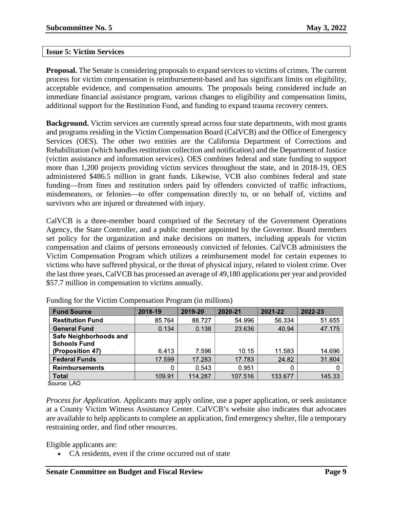#### <span id="page-8-0"></span>**Issue 5: Victim Services**

**Proposal.** The Senate is considering proposals to expand services to victims of crimes. The current process for victim compensation is reimbursement-based and has significant limits on eligibility, acceptable evidence, and compensation amounts. The proposals being considered include an immediate financial assistance program, various changes to eligibility and compensation limits, additional support for the Restitution Fund, and funding to expand trauma recovery centers.

**Background.** Victim services are currently spread across four state departments, with most grants and programs residing in the Victim Compensation Board (CalVCB) and the Office of Emergency Services (OES). The other two entities are the California Department of Corrections and Rehabilitation (which handles restitution collection and notification) and the Department of Justice (victim assistance and information services). OES combines federal and state funding to support more than 1,200 projects providing victim services throughout the state, and in 2018-19, OES administered \$486.5 million in grant funds. Likewise, VCB also combines federal and state funding—from fines and restitution orders paid by offenders convicted of traffic infractions, misdemeanors, or felonies—to offer compensation directly to, or on behalf of, victims and survivors who are injured or threatened with injury.

CalVCB is a three-member board comprised of the Secretary of the Government Operations Agency, the State Controller, and a public member appointed by the Governor. Board members set policy for the organization and make decisions on matters, including appeals for victim compensation and claims of persons erroneously convicted of felonies. CalVCB administers the Victim Compensation Program which utilizes a reimbursement model for certain expenses to victims who have suffered physical, or the threat of physical injury, related to violent crime. Over the last three years, CalVCB has processed an average of 49,180 applications per year and provided \$57.7 million in compensation to victims annually.

| <b>Fund Source</b>      | 2018-19 | 2019-20 | 2020-21 | 2021-22 | 2022-23 |
|-------------------------|---------|---------|---------|---------|---------|
| <b>Restitution Fund</b> | 85.764  | 88.727  | 54.996  | 56.334  | 51.655  |
| <b>General Fund</b>     | 0.134   | 0.138   | 23 636  | 40.94   | 47.175  |
| Safe Neighborhoods and  |         |         |         |         |         |
| <b>Schools Fund</b>     |         |         |         |         |         |
| (Proposition 47)        | 6.413   | 7.596   | 10 15   | 11.583  | 14.696  |
| <b>Federal Funds</b>    | 17.599  | 17.283  | 17 783  | 24.82   | 31.804  |
| <b>Reimbursements</b>   |         | 0.543   | 0.951   | 0       |         |
| <b>Total</b>            | 109.91  | 114 287 | 107.516 | 133.677 | 145 33  |

Funding for the Victim Compensation Program (in millions)

Source: LAO

*Process for Application.* Applicants may apply online, use a paper application, or seek assistance at a County Victim Witness Assistance Center. CalVCB's website also indicates that advocates are available to help applicants to complete an application, find emergency shelter, file a temporary restraining order, and find other resources.

Eligible applicants are:

• CA residents, even if the crime occurred out of state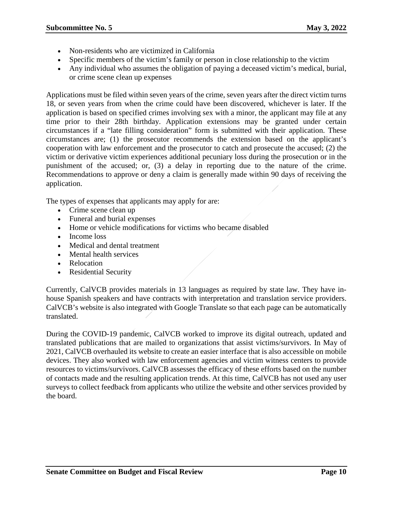- Non-residents who are victimized in California
- Specific members of the victim's family or person in close relationship to the victim
- Any individual who assumes the obligation of paying a deceased victim's medical, burial, or crime scene clean up expenses

Applications must be filed within seven years of the crime, seven years after the direct victim turns 18, or seven years from when the crime could have been discovered, whichever is later. If the application is based on specified crimes involving sex with a minor, the applicant may file at any time prior to their 28th birthday. Application extensions may be granted under certain circumstances if a "late filling consideration" form is submitted with their application. These circumstances are; (1) the prosecutor recommends the extension based on the applicant's cooperation with law enforcement and the prosecutor to catch and prosecute the accused; (2) the victim or derivative victim experiences additional pecuniary loss during the prosecution or in the punishment of the accused; or, (3) a delay in reporting due to the nature of the crime. Recommendations to approve or deny a claim is generally made within 90 days of receiving the application.

The types of expenses that applicants may apply for are:

- Crime scene clean up
- Funeral and burial expenses
- Home or vehicle modifications for victims who became disabled
- Income loss
- Medical and dental treatment
- Mental health services
- Relocation
- Residential Security

Currently, CalVCB provides materials in 13 languages as required by state law. They have inhouse Spanish speakers and have contracts with interpretation and translation service providers. CalVCB's website is also integrated with Google Translate so that each page can be automatically translated.

During the COVID-19 pandemic, CalVCB worked to improve its digital outreach, updated and translated publications that are mailed to organizations that assist victims/survivors. In May of 2021, CalVCB overhauled its website to create an easier interface that is also accessible on mobile devices. They also worked with law enforcement agencies and victim witness centers to provide resources to victims/survivors. CalVCB assesses the efficacy of these efforts based on the number of contacts made and the resulting application trends. At this time, CalVCB has not used any user surveys to collect feedback from applicants who utilize the website and other services provided by the board.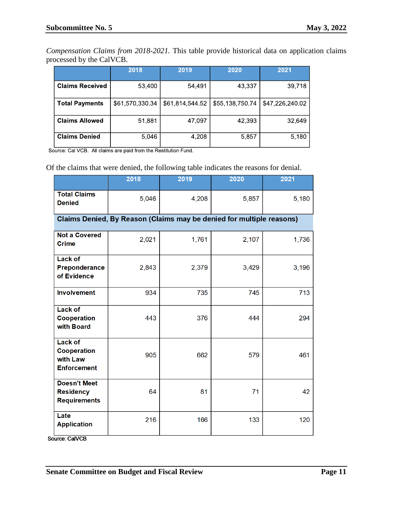*Compensation Claims from 2018-2021.* This table provide historical data on application claims processed by the CalVCB.

|                        | 2018            | 2019            | 2020            | 2021            |
|------------------------|-----------------|-----------------|-----------------|-----------------|
| <b>Claims Received</b> | 53,400          | 54,491          | 43,337          | 39,718          |
| <b>Total Payments</b>  | \$61,570,330.34 | \$61,814,544.52 | \$55,138,750.74 | \$47,226,240.02 |
| <b>Claims Allowed</b>  | 51,881          | 47,097          | 42,393          | 32,649          |
| <b>Claims Denied</b>   | 5,046           | 4,208           | 5,857           | 5,180           |

Source: Cal VCB. All claims are paid from the Restitution Fund.

Of the claims that were denied, the following table indicates the reasons for denial.

|                                                                        | 2018                                                                 | 2019  | 2020  | 2021  |
|------------------------------------------------------------------------|----------------------------------------------------------------------|-------|-------|-------|
|                                                                        |                                                                      |       |       |       |
| <b>Total Claims</b><br><b>Denied</b>                                   | 5,046                                                                | 4,208 | 5,857 | 5,180 |
|                                                                        | Claims Denied, By Reason (Claims may be denied for multiple reasons) |       |       |       |
| <b>Not a Covered</b><br><b>Crime</b>                                   | 2,021                                                                | 1,761 | 2,107 | 1,736 |
| <b>Lack of</b><br>Preponderance<br>of Evidence                         | 2,843                                                                | 2,379 | 3,429 | 3,196 |
| <b>Involvement</b>                                                     | 934                                                                  | 735   | 745   | 713   |
| <b>Lack of</b><br><b>Cooperation</b><br>with Board                     | 443                                                                  | 376   | 444   | 294   |
| <b>Lack of</b><br><b>Cooperation</b><br>with Law<br><b>Enforcement</b> | 905                                                                  | 662   | 579   | 461   |
| <b>Doesn't Meet</b><br><b>Residency</b><br><b>Requirements</b>         | 64                                                                   | 81    | 71    | 42    |
| Late<br><b>Application</b>                                             | 216                                                                  | 166   | 133   | 120   |

Source: CalVCB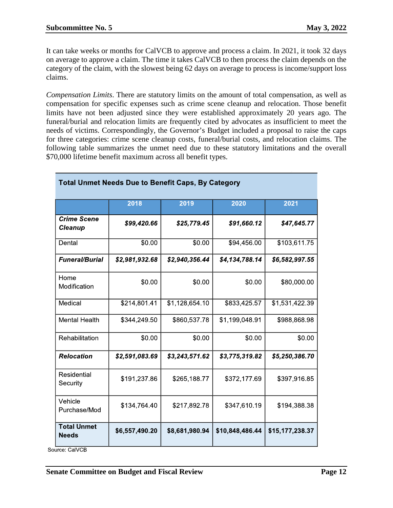It can take weeks or months for CalVCB to approve and process a claim. In 2021, it took 32 days on average to approve a claim. The time it takes CalVCB to then process the claim depends on the category of the claim, with the slowest being 62 days on average to process is income/support loss claims.

*Compensation Limits*. There are statutory limits on the amount of total compensation, as well as compensation for specific expenses such as crime scene cleanup and relocation. Those benefit limits have not been adjusted since they were established approximately 20 years ago. The funeral/burial and relocation limits are frequently cited by advocates as insufficient to meet the needs of victims. Correspondingly, the Governor's Budget included a proposal to raise the caps for three categories: crime scene cleanup costs, funeral/burial costs, and relocation claims. The following table summarizes the unmet need due to these statutory limitations and the overall \$70,000 lifetime benefit maximum across all benefit types.

| <b>Total Unmet Needs Due to Benefit Caps, By Category</b> |                |                |                 |                 |
|-----------------------------------------------------------|----------------|----------------|-----------------|-----------------|
|                                                           | 2018           | 2019           | 2020            | 2021            |
| <b>Crime Scene</b><br><b>Cleanup</b>                      | \$99,420.66    | \$25,779.45    | \$91,660.12     | \$47,645.77     |
| Dental                                                    | \$0.00         | \$0.00         | \$94,456.00     | \$103,611.75    |
| <b>Funeral/Burial</b>                                     | \$2,981,932.68 | \$2,940,356.44 | \$4,134,788.14  | \$6,582,997.55  |
| Home<br>Modification                                      | \$0.00         | \$0.00         | \$0.00          | \$80,000.00     |
| Medical                                                   | \$214,801.41   | \$1,128,654.10 | \$833,425.57    | \$1,531,422.39  |
| <b>Mental Health</b>                                      | \$344,249.50   | \$860,537.78   | \$1,199,048.91  | \$988,868.98    |
| Rehabilitation                                            | \$0.00         | \$0.00         | \$0.00          | \$0.00          |
| <b>Relocation</b>                                         | \$2,591,083.69 | \$3,243,571.62 | \$3,775,319.82  | \$5,250,386.70  |
| Residential<br>Security                                   | \$191,237.86   | \$265,188.77   | \$372,177.69    | \$397,916.85    |
| Vehicle<br>Purchase/Mod                                   | \$134,764.40   | \$217,892.78   | \$347,610.19    | \$194,388.38    |
| <b>Total Unmet</b><br><b>Needs</b>                        | \$6,557,490.20 | \$8,681,980.94 | \$10,848,486.44 | \$15,177,238.37 |

Source: CalVCB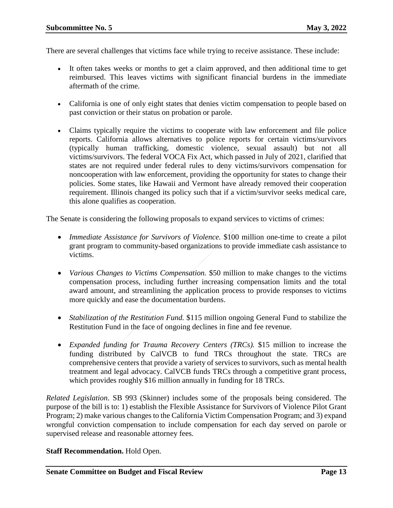There are several challenges that victims face while trying to receive assistance. These include:

- It often takes weeks or months to get a claim approved, and then additional time to get reimbursed. This leaves victims with significant financial burdens in the immediate aftermath of the crime.
- California is one of only eight states that denies victim compensation to people based on past conviction or their status on probation or parole.
- Claims typically require the victims to cooperate with law enforcement and file police reports. California allows alternatives to police reports for certain victims/survivors (typically human trafficking, domestic violence, sexual assault) but not all victims/survivors. The federal VOCA Fix Act, which passed in July of 2021, clarified that states are not required under federal rules to deny victims/survivors compensation for noncooperation with law enforcement, providing the opportunity for states to change their policies. Some states, like Hawaii and Vermont have already removed their cooperation requirement. Illinois changed its policy such that if a victim/survivor seeks medical care, this alone qualifies as cooperation.

The Senate is considering the following proposals to expand services to victims of crimes:

- *Immediate Assistance for Survivors of Violence.* \$100 million one-time to create a pilot grant program to community-based organizations to provide immediate cash assistance to victims.
- *Various Changes to Victims Compensation.* \$50 million to make changes to the victims compensation process, including further increasing compensation limits and the total award amount, and streamlining the application process to provide responses to victims more quickly and ease the documentation burdens.
- *Stabilization of the Restitution Fund.* \$115 million ongoing General Fund to stabilize the Restitution Fund in the face of ongoing declines in fine and fee revenue.
- *Expanded funding for Trauma Recovery Centers (TRCs).* \$15 million to increase the funding distributed by CalVCB to fund TRCs throughout the state. TRCs are comprehensive centers that provide a variety of services to survivors, such as mental health treatment and legal advocacy. CalVCB funds TRCs through a competitive grant process, which provides roughly \$16 million annually in funding for 18 TRCs.

*Related Legislation*. SB 993 (Skinner) includes some of the proposals being considered. The purpose of the bill is to: 1) establish the Flexible Assistance for Survivors of Violence Pilot Grant Program; 2) make various changes to the California Victim Compensation Program; and 3) expand wrongful conviction compensation to include compensation for each day served on parole or supervised release and reasonable attorney fees.